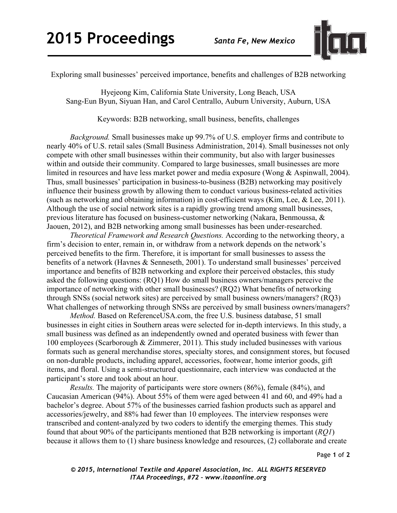

Exploring small businesses' perceived importance, benefits and challenges of B2B networking

Hyejeong Kim, California State University, Long Beach, USA Sang-Eun Byun, Siyuan Han, and Carol Centrallo, Auburn University, Auburn, USA

Keywords: B2B networking, small business, benefits, challenges

*Background.* Small businesses make up 99.7% of U.S. employer firms and contribute to nearly 40% of U.S. retail sales (Small Business Administration, 2014). Small businesses not only compete with other small businesses within their community, but also with larger businesses within and outside their community. Compared to large businesses, small businesses are more limited in resources and have less market power and media exposure (Wong & Aspinwall, 2004). Thus, small businesses' participation in business-to-business (B2B) networking may positively influence their business growth by allowing them to conduct various business-related activities (such as networking and obtaining information) in cost-efficient ways (Kim, Lee, & Lee, 2011). Although the use of social network sites is a rapidly growing trend among small businesses, previous literature has focused on business-customer networking (Nakara, Benmoussa, & Jaouen, 2012), and B2B networking among small businesses has been under-researched.

*Theoretical Framework and Research Questions.* According to the networking theory, a firm's decision to enter, remain in, or withdraw from a network depends on the network's perceived benefits to the firm. Therefore, it is important for small businesses to assess the benefits of a network (Havnes & Senneseth, 2001). To understand small businesses' perceived importance and benefits of B2B networking and explore their perceived obstacles, this study asked the following questions: (RQ1) How do small business owners/managers perceive the importance of networking with other small businesses? (RQ2) What benefits of networking through SNSs (social network sites) are perceived by small business owners/managers? (RQ3) What challenges of networking through SNSs are perceived by small business owners/managers?

*Method.* Based on ReferenceUSA.com, the free U.S. business database, 51 small businesses in eight cities in Southern areas were selected for in-depth interviews. In this study, a small business was defined as an independently owned and operated business with fewer than 100 employees (Scarborough & Zimmerer, 2011). This study included businesses with various formats such as general merchandise stores, specialty stores, and consignment stores, but focused on non-durable products, including apparel, accessories, footwear, home interior goods, gift items, and floral. Using a semi-structured questionnaire, each interview was conducted at the participant's store and took about an hour.

*Results.* The majority of participants were store owners (86%), female (84%), and Caucasian American (94%). About 55% of them were aged between 41 and 60, and 49% had a bachelor's degree. About 57% of the businesses carried fashion products such as apparel and accessories/jewelry, and 88% had fewer than 10 employees. The interview responses were transcribed and content-analyzed by two coders to identify the emerging themes. This study found that about 90% of the participants mentioned that B2B networking is important (*RQ1*) because it allows them to (1) share business knowledge and resources, (2) collaborate and create

Page **1** of **2** 

*© 2015, International Textile and Apparel Association, Inc. ALL RIGHTS RESERVED ITAA Proceedings, #72 – www.itaaonline.org*